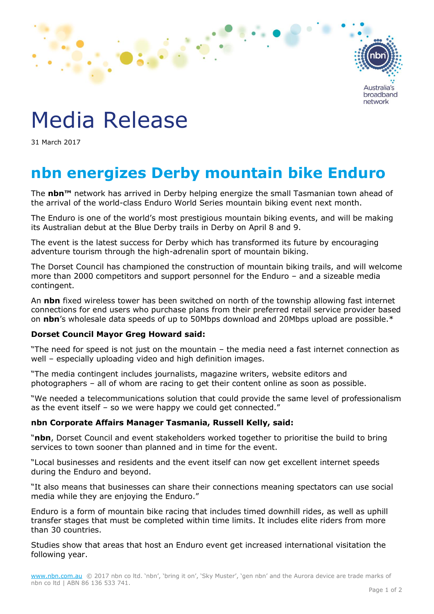

# Media Release

31 March 2017

# **nbn energizes Derby mountain bike Enduro**

The **nbn™** network has arrived in Derby helping energize the small Tasmanian town ahead of the arrival of the world-class Enduro World Series mountain biking event next month.

The Enduro is one of the world's most prestigious mountain biking events, and will be making its Australian debut at the Blue Derby trails in Derby on April 8 and 9.

The event is the latest success for Derby which has transformed its future by encouraging adventure tourism through the high-adrenalin sport of mountain biking.

The Dorset Council has championed the construction of mountain biking trails, and will welcome more than 2000 competitors and support personnel for the Enduro – and a sizeable media contingent.

An **nbn** fixed wireless tower has been switched on north of the township allowing fast internet connections for end users who purchase plans from their preferred retail service provider based on **nbn**'s wholesale data speeds of up to 50Mbps download and 20Mbps upload are possible.\*

## **Dorset Council Mayor Greg Howard said:**

"The need for speed is not just on the mountain – the media need a fast internet connection as well – especially uploading video and high definition images.

"The media contingent includes journalists, magazine writers, website editors and photographers – all of whom are racing to get their content online as soon as possible.

"We needed a telecommunications solution that could provide the same level of professionalism as the event itself – so we were happy we could get connected."

## **nbn Corporate Affairs Manager Tasmania, Russell Kelly, said:**

"**nbn**, Dorset Council and event stakeholders worked together to prioritise the build to bring services to town sooner than planned and in time for the event.

"Local businesses and residents and the event itself can now get excellent internet speeds during the Enduro and beyond.

"It also means that businesses can share their connections meaning spectators can use social media while they are enjoying the Enduro."

Enduro is a form of mountain bike racing that includes timed downhill rides, as well as uphill transfer stages that must be completed within time limits. It includes elite riders from more than 30 countries.

Studies show that areas that host an Enduro event get increased international visitation the following year.